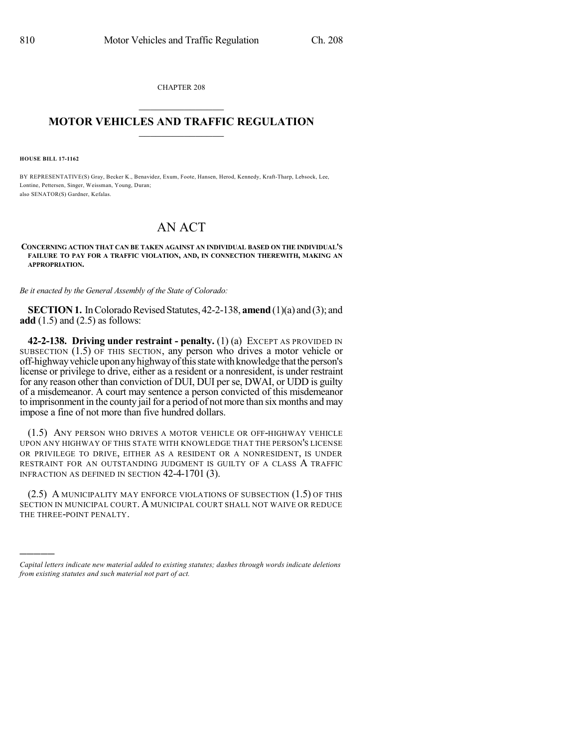CHAPTER 208  $\overline{\phantom{a}}$  . The set of the set of the set of the set of the set of the set of the set of the set of the set of the set of the set of the set of the set of the set of the set of the set of the set of the set of the set o

## **MOTOR VEHICLES AND TRAFFIC REGULATION**  $\frac{1}{2}$  ,  $\frac{1}{2}$  ,  $\frac{1}{2}$  ,  $\frac{1}{2}$  ,  $\frac{1}{2}$  ,  $\frac{1}{2}$  ,  $\frac{1}{2}$

**HOUSE BILL 17-1162**

)))))

BY REPRESENTATIVE(S) Gray, Becker K., Benavidez, Exum, Foote, Hansen, Herod, Kennedy, Kraft-Tharp, Lebsock, Lee, Lontine, Pettersen, Singer, Weissman, Young, Duran; also SENATOR(S) Gardner, Kefalas.

## AN ACT

## **CONCERNING ACTION THAT CAN BE TAKEN AGAINST AN INDIVIDUAL BASED ON THE INDIVIDUAL'S FAILURE TO PAY FOR A TRAFFIC VIOLATION, AND, IN CONNECTION THEREWITH, MAKING AN APPROPRIATION.**

*Be it enacted by the General Assembly of the State of Colorado:*

**SECTION 1.** In Colorado Revised Statutes, 42-2-138, **amend** (1)(a) and (3); and **add** (1.5) and (2.5) as follows:

**42-2-138. Driving under restraint - penalty.** (1) (a) EXCEPT AS PROVIDED IN SUBSECTION (1.5) OF THIS SECTION, any person who drives a motor vehicle or off-highwayvehicleuponanyhighwayofthisstatewithknowledge thattheperson's license or privilege to drive, either as a resident or a nonresident, is under restraint for any reason other than conviction of DUI, DUI per se, DWAI, or UDD is guilty of a misdemeanor. A court may sentence a person convicted of this misdemeanor to imprisonment in the county jail for a period of not more than six months and may impose a fine of not more than five hundred dollars.

(1.5) ANY PERSON WHO DRIVES A MOTOR VEHICLE OR OFF-HIGHWAY VEHICLE UPON ANY HIGHWAY OF THIS STATE WITH KNOWLEDGE THAT THE PERSON'S LICENSE OR PRIVILEGE TO DRIVE, EITHER AS A RESIDENT OR A NONRESIDENT, IS UNDER RESTRAINT FOR AN OUTSTANDING JUDGMENT IS GUILTY OF A CLASS A TRAFFIC INFRACTION AS DEFINED IN SECTION 42-4-1701 (3).

(2.5) A MUNICIPALITY MAY ENFORCE VIOLATIONS OF SUBSECTION (1.5) OF THIS SECTION IN MUNICIPAL COURT. A MUNICIPAL COURT SHALL NOT WAIVE OR REDUCE THE THREE-POINT PENALTY.

*Capital letters indicate new material added to existing statutes; dashes through words indicate deletions from existing statutes and such material not part of act.*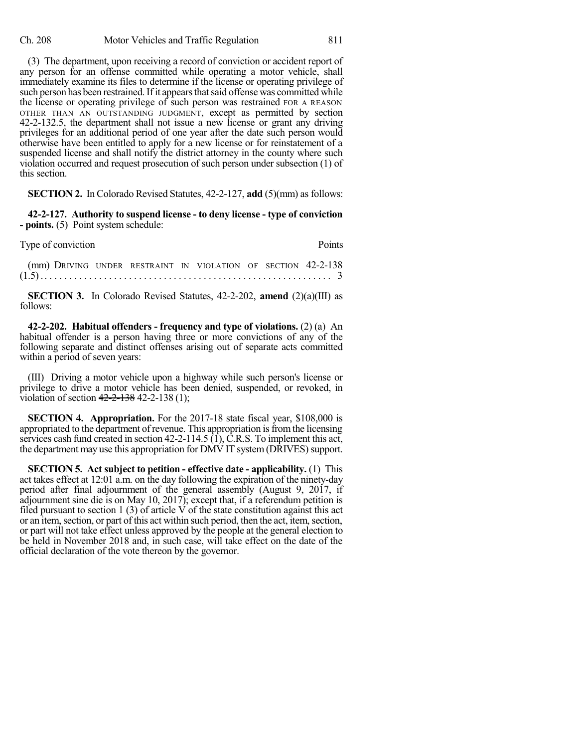(3) The department, upon receiving a record of conviction or accident report of any person for an offense committed while operating a motor vehicle, shall immediately examine its files to determine if the license or operating privilege of such person has been restrained. If it appears that said offense was committed while the license or operating privilege of such person was restrained FOR A REASON OTHER THAN AN OUTSTANDING JUDGMENT, except as permitted by section 42-2-132.5, the department shall not issue a new license or grant any driving privileges for an additional period of one year after the date such person would otherwise have been entitled to apply for a new license or for reinstatement of a suspended license and shall notify the district attorney in the county where such violation occurred and request prosecution of such person under subsection (1) of this section.

**SECTION 2.** In Colorado Revised Statutes, 42-2-127, **add** (5)(mm) as follows:

**42-2-127. Authority to suspend license - to deny license - type of conviction - points.** (5) Point system schedule:

| Type of conviction                                            |  |  |  |  |  |  | <b>Points</b> |
|---------------------------------------------------------------|--|--|--|--|--|--|---------------|
| (mm) DRIVING UNDER RESTRAINT IN VIOLATION OF SECTION 42-2-138 |  |  |  |  |  |  |               |

(1.5) .. . . . . . . . . . . . . . . . . . . . . . . . . . . . . . . . . . . . . . . . . . . . . . . . . . . . . . . . . . 3

**SECTION 3.** In Colorado Revised Statutes, 42-2-202, **amend** (2)(a)(III) as follows:

**42-2-202. Habitual offenders - frequency and type of violations.** (2) (a) An habitual offender is a person having three or more convictions of any of the following separate and distinct offenses arising out of separate acts committed within a period of seven years:

(III) Driving a motor vehicle upon a highway while such person's license or privilege to drive a motor vehicle has been denied, suspended, or revoked, in violation of section  $42 - 2 - 138$  42-2-138 (1);

**SECTION 4. Appropriation.** For the 2017-18 state fiscal year, \$108,000 is appropriated to the department of revenue. This appropriation isfromthe licensing services cash fund created in section 42-2-114.5 (1), C.R.S. To implement this act, the department may use this appropriation for DMV IT system (DRIVES) support.

**SECTION 5. Act subject to petition - effective date - applicability.** (1) This act takes effect at 12:01 a.m. on the day following the expiration of the ninety-day period after final adjournment of the general assembly (August 9, 2017, if adjournment sine die is on May 10, 2017); except that, if a referendum petition is filed pursuant to section 1 (3) of article  $\dot{V}$  of the state constitution against this act or an item, section, or part of this act within such period, then the act, item, section, or part will not take effect unless approved by the people at the general election to be held in November 2018 and, in such case, will take effect on the date of the official declaration of the vote thereon by the governor.